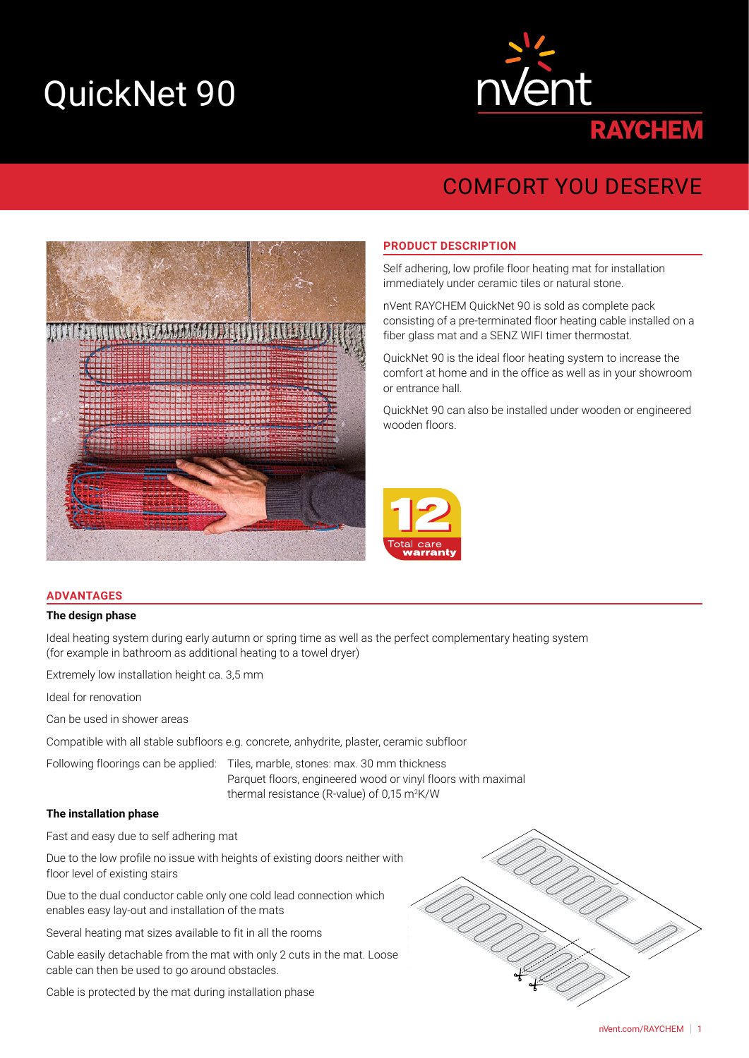# QuickNet 90



# COMFORT YOU DESERVE



#### **PRODUCT DESCRIPTION**

Self adhering, low profile floor heating mat for installation immediately under ceramic tiles or natural stone.

nVent RAYCHEM QuickNet 90 is sold as complete pack consisting of a pre-terminated floor heating cable installed on a fiber glass mat and a SENZ WIFI timer thermostat.

QuickNet 90 is the ideal floor heating system to increase the comfort at home and in the office as well as in your showroom or entrance hall.

QuickNet 90 can also be installed under wooden or engineered wooden floors.



#### **ADVANTAGES**

#### **The design phase**

Ideal heating system during early autumn or spring time as well as the perfect complementary heating system (for example in bathroom as additional heating to a towel dryer)

Extremely low installation height ca. 3,5 mm

Ideal for renovation

Can be used in shower areas

Compatible with all stable subfloors e.g. concrete, anhydrite, plaster, ceramic subfloor

Following floorings can be applied: Tiles, marble, stones: max. 30 mm thickness Parquet floors, engineered wood or vinyl floors with maximal thermal resistance (R-value) of 0,15 m<sup>2</sup> K/W

#### **The installation phase**

Fast and easy due to self adhering mat

Due to the low profile no issue with heights of existing doors neither with floor level of existing stairs

Due to the dual conductor cable only one cold lead connection which enables easy lay-out and installation of the mats

Several heating mat sizes available to fit in all the rooms

Cable easily detachable from the mat with only 2 cuts in the mat. Loose cable can then be used to go around obstacles.

Cable is protected by the mat during installation phase

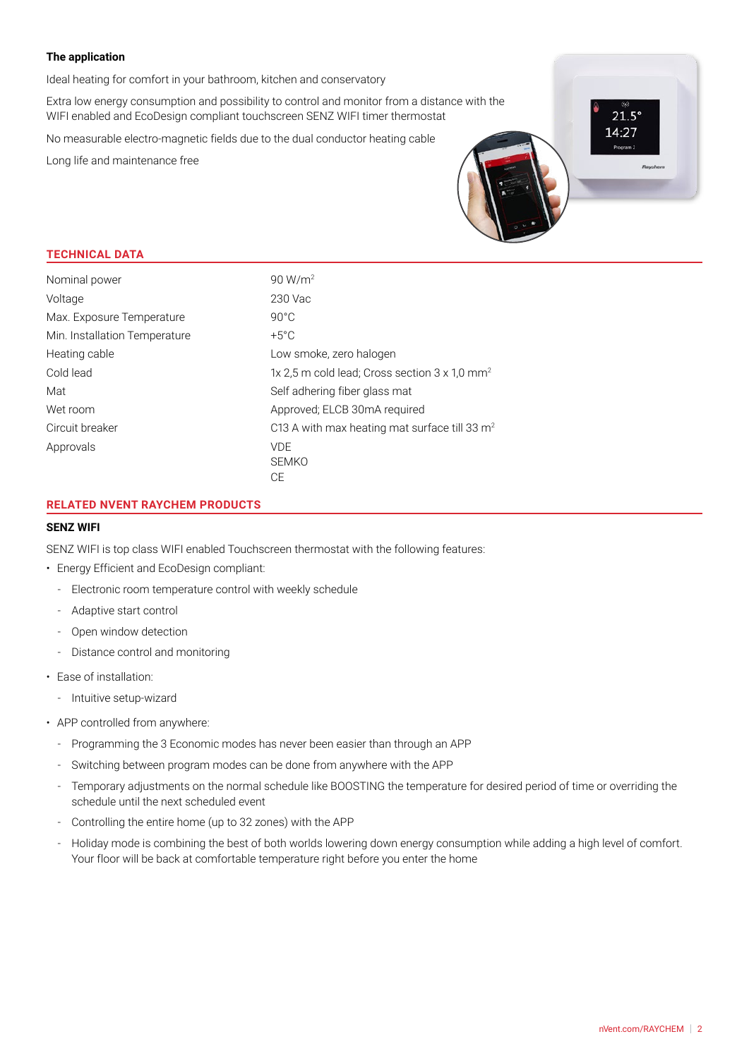## **The application**

Ideal heating for comfort in your bathroom, kitchen and conservatory

Extra low energy consumption and possibility to control and monitor from a distance with the WIFI enabled and EcoDesign compliant touchscreen SENZ WIFI timer thermostat

No measurable electro-magnetic fields due to the dual conductor heating cable

Long life and maintenance free



### **TECHNICAL DATA**

| Nominal power                 | 90 W/m <sup>2</sup>                                              |  |  |
|-------------------------------|------------------------------------------------------------------|--|--|
| Voltage                       | 230 Vac                                                          |  |  |
| Max. Exposure Temperature     | $90^{\circ}$ C                                                   |  |  |
| Min. Installation Temperature | $+5^{\circ}$ C                                                   |  |  |
| Heating cable                 | Low smoke, zero halogen                                          |  |  |
| Cold lead                     | 1x 2.5 m cold lead; Cross section $3 \times 1.0$ mm <sup>2</sup> |  |  |
| Mat                           | Self adhering fiber glass mat                                    |  |  |
| Wet room                      | Approved; ELCB 30mA required                                     |  |  |
| Circuit breaker               | C13 A with max heating mat surface till 33 $m2$                  |  |  |
| Approvals                     | <b>VDE</b>                                                       |  |  |
|                               | <b>SEMKO</b>                                                     |  |  |
|                               | <b>CE</b>                                                        |  |  |

#### **RELATED NVENT RAYCHEM PRODUCTS**

#### **SENZ WIFI**

SENZ WIFI is top class WIFI enabled Touchscreen thermostat with the following features:

- Energy Efficient and EcoDesign compliant:
	- Electronic room temperature control with weekly schedule
	- Adaptive start control
	- Open window detection
	- Distance control and monitoring
- Ease of installation:
	- Intuitive setup-wizard
- APP controlled from anywhere:
	- Programming the 3 Economic modes has never been easier than through an APP
	- Switching between program modes can be done from anywhere with the APP
	- Temporary adjustments on the normal schedule like BOOSTING the temperature for desired period of time or overriding the schedule until the next scheduled event
	- Controlling the entire home (up to 32 zones) with the APP
	- Holiday mode is combining the best of both worlds lowering down energy consumption while adding a high level of comfort. Your floor will be back at comfortable temperature right before you enter the home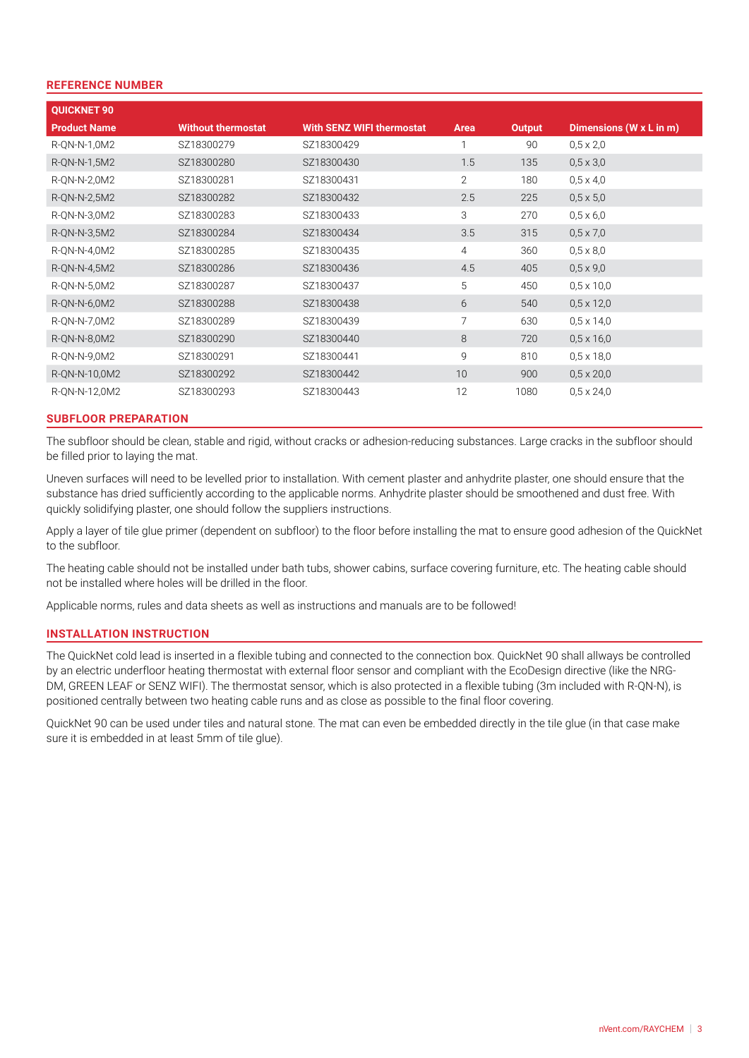#### **REFERENCE NUMBER**

| <b>QUICKNET 90</b>  |                           |                                  |                |               |                         |
|---------------------|---------------------------|----------------------------------|----------------|---------------|-------------------------|
| <b>Product Name</b> | <b>Without thermostat</b> | <b>With SENZ WIFI thermostat</b> | <b>Area</b>    | <b>Output</b> | Dimensions (W x L in m) |
| R-QN-N-1,0M2        | SZ18300279                | SZ18300429                       | 1              | 90            | $0.5 \times 2.0$        |
| R-QN-N-1,5M2        | SZ18300280                | SZ18300430                       | 1.5            | 135           | $0,5 \times 3,0$        |
| R-QN-N-2,0M2        | SZ18300281                | SZ18300431                       | $\overline{2}$ | 180           | $0,5 \times 4,0$        |
| R-QN-N-2,5M2        | SZ18300282                | SZ18300432                       | 2.5            | 225           | $0,5 \times 5,0$        |
| R-QN-N-3,0M2        | SZ18300283                | SZ18300433                       | 3              | 270           | $0,5 \times 6,0$        |
| R-QN-N-3,5M2        | SZ18300284                | SZ18300434                       | 3.5            | 315           | $0,5 \times 7,0$        |
| R-QN-N-4,0M2        | SZ18300285                | SZ18300435                       | 4              | 360           | $0,5 \times 8,0$        |
| R-QN-N-4,5M2        | SZ18300286                | SZ18300436                       | 4.5            | 405           | $0,5 \times 9,0$        |
| R-QN-N-5,0M2        | SZ18300287                | SZ18300437                       | 5              | 450           | $0,5 \times 10,0$       |
| R-QN-N-6,0M2        | SZ18300288                | SZ18300438                       | 6              | 540           | $0,5 \times 12,0$       |
| R-QN-N-7,0M2        | SZ18300289                | SZ18300439                       | $\overline{7}$ | 630           | $0,5 \times 14,0$       |
| R-QN-N-8,0M2        | SZ18300290                | SZ18300440                       | 8              | 720           | $0,5 \times 16,0$       |
| R-QN-N-9,0M2        | SZ18300291                | SZ18300441                       | 9              | 810           | $0,5 \times 18,0$       |
| R-QN-N-10,0M2       | SZ18300292                | SZ18300442                       | 10             | 900           | $0,5 \times 20,0$       |
| R-QN-N-12,0M2       | SZ18300293                | SZ18300443                       | 12             | 1080          | $0,5 \times 24,0$       |

#### **SUBFLOOR PREPARATION**

The subfloor should be clean, stable and rigid, without cracks or adhesion-reducing substances. Large cracks in the subfloor should be filled prior to laying the mat.

Uneven surfaces will need to be levelled prior to installation. With cement plaster and anhydrite plaster, one should ensure that the substance has dried sufficiently according to the applicable norms. Anhydrite plaster should be smoothened and dust free. With quickly solidifying plaster, one should follow the suppliers instructions.

Apply a layer of tile glue primer (dependent on subfloor) to the floor before installing the mat to ensure good adhesion of the QuickNet to the subfloor.

The heating cable should not be installed under bath tubs, shower cabins, surface covering furniture, etc. The heating cable should not be installed where holes will be drilled in the floor.

Applicable norms, rules and data sheets as well as instructions and manuals are to be followed!

#### **INSTALLATION INSTRUCTION**

The QuickNet cold lead is inserted in a flexible tubing and connected to the connection box. QuickNet 90 shall allways be controlled by an electric underfloor heating thermostat with external floor sensor and compliant with the EcoDesign directive (like the NRG-DM, GREEN LEAF or SENZ WIFI). The thermostat sensor, which is also protected in a flexible tubing (3m included with R-QN-N), is positioned centrally between two heating cable runs and as close as possible to the final floor covering.

QuickNet 90 can be used under tiles and natural stone. The mat can even be embedded directly in the tile glue (in that case make sure it is embedded in at least 5mm of tile glue).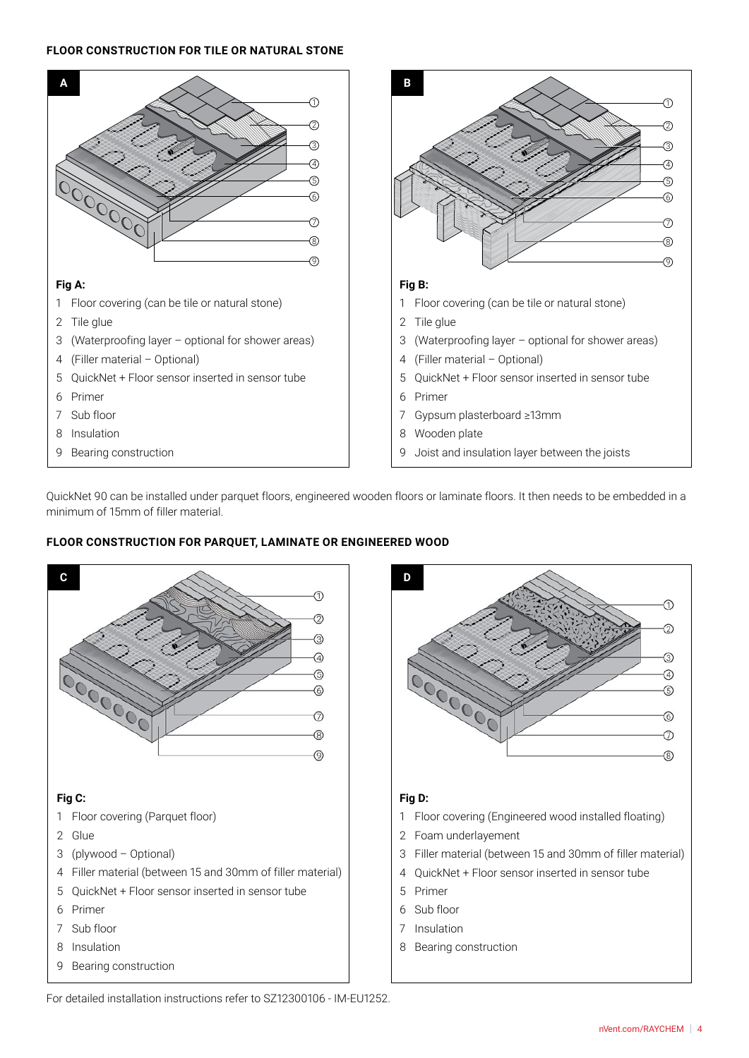# **FLOOR CONSTRUCTION FOR TILE OR NATURAL STONE**



QuickNet 90 can be installed under parquet floors, engineered wooden floors or laminate floors. It then needs to be embedded in a minimum of 15mm of filler material.

# **FLOOR CONSTRUCTION FOR PARQUET, LAMINATE OR ENGINEERED WOOD**





# **Fig D:**

- Floor covering (Engineered wood installed floating)
- Foam underlayement
- Filler material (between 15 and 30mm of filler material)
- QuickNet + Floor sensor inserted in sensor tube
- Primer
- Sub floor
- Insulation
- Bearing construction

For detailed installation instructions refer to SZ12300106 - IM-EU1252.